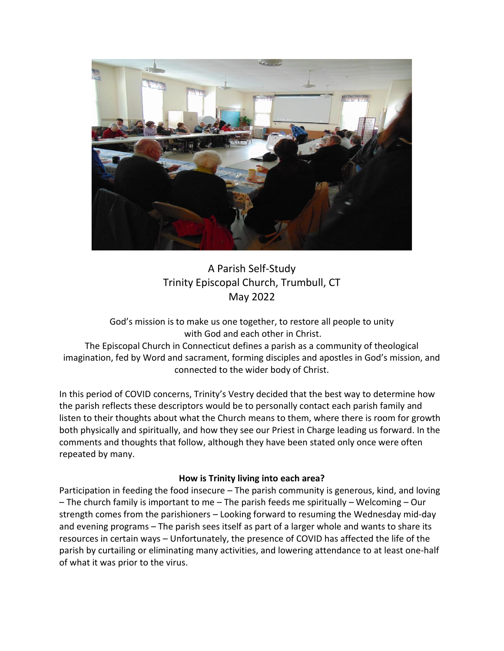

# A Parish Self-Study Trinity Episcopal Church, Trumbull, CT May 2022

God's mission is to make us one together, to restore all people to unity with God and each other in Christ.

The Episcopal Church in Connecticut defines a parish as a community of theological imagination, fed by Word and sacrament, forming disciples and apostles in God's mission, and connected to the wider body of Christ.

In this period of COVID concerns, Trinity's Vestry decided that the best way to determine how the parish reflects these descriptors would be to personally contact each parish family and listen to their thoughts about what the Church means to them, where there is room for growth both physically and spiritually, and how they see our Priest in Charge leading us forward. In the comments and thoughts that follow, although they have been stated only once were often repeated by many.

## **How is Trinity living into each area?**

Participation in feeding the food insecure – The parish community is generous, kind, and loving – The church family is important to me – The parish feeds me spiritually – Welcoming – Our strength comes from the parishioners – Looking forward to resuming the Wednesday mid-day and evening programs – The parish sees itself as part of a larger whole and wants to share its resources in certain ways – Unfortunately, the presence of COVID has affected the life of the parish by curtailing or eliminating many activities, and lowering attendance to at least one-half of what it was prior to the virus.